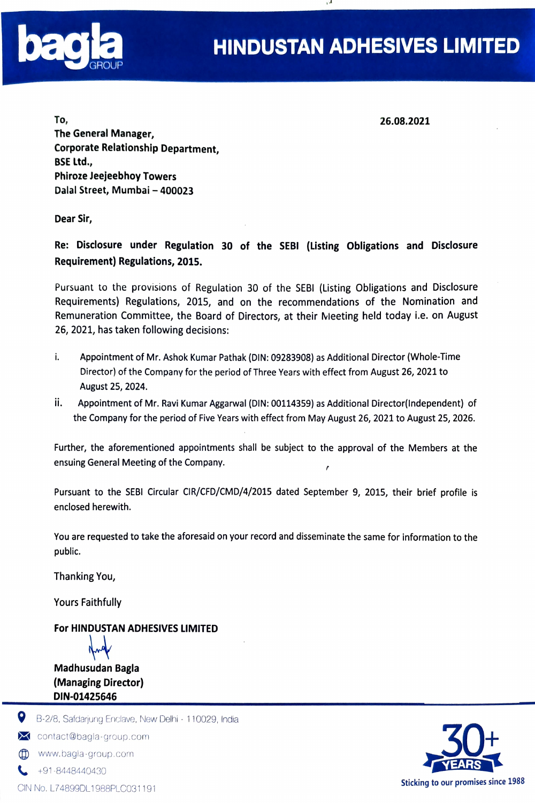

To, 26.08.2021 The General Manager, Corporate Relationship Department, BSE Ltd., Phiroze Jeejeebhoy Towers Dalal Street, Mumbai - 400023

Dear Sir,

Re: Disclosure under Regulation 30 of the SEBI (Listing Obligations and Disclosure Requirement) Regulations, 2015.

Pursuant to the provisions of Regulation 30 of the SEBI (Listing Obligations and Disclosure Requirements) Regulations, 2015, and on the recommendations of the Nomination and Remuneration Committee, the Board of Directors, at their Meeting held today i.e. on August 26, 2021, has taken following decisions:

- i. Appointment of Mr. Ashok Kumar Pathak (DIN: 09283908) as Additional Director (Whole-Time Director) of the Company for the period of Three Years with effect from August 26, 2021 to August 25, 2024.
- ii. Appointment of Mr. Ravi Kumar Aggarwal (DIN: 00114359) as Additional Director(lndependent) of the Company for the period of Five Years with effect from May August 26, 2021 to August 25, 2026.

Further, the aforementioned appointments shall be subject to the approval of the Members at the ensuing General Meeting of the Company.

Pursuant to the SEBI Circular CIR/CFD/CMD/4/2015 dated September 9, 2015, their brief profile is enclosed herewith.

You are requested to take the aforesaid on your record and disseminate the same for information to the public.

Thanking You,

Yours Faithfully

### For HINDUSTAN ADHESIVES LIMITED



Madhusudan Bagla (Managing Director) DIN-01425646